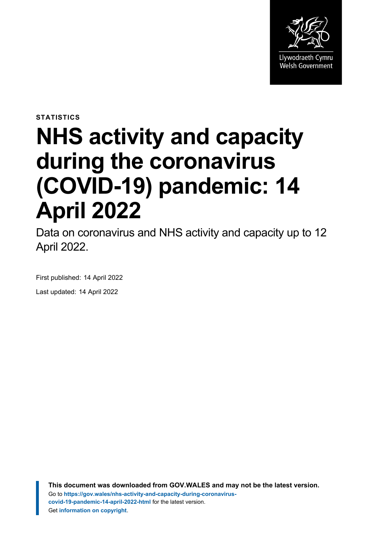

**STATISTICS**

# **NHS activity and capacity during the coronavirus (COVID-19) pandemic: 14 April 2022**

Data on coronavirus and NHS activity and capacity up to 12 April 2022.

First published: 14 April 2022 Last updated: 14 April 2022

> **This document was downloaded from GOV.WALES and may not be the latest version.** Go to **[https://gov.wales/nhs-activity-and-capacity-during-coronavirus](https://gov.wales/nhs-activity-and-capacity-during-coronavirus-covid-19-pandemic-14-april-2022-html)[covid-19-pandemic-14-april-2022-html](https://gov.wales/nhs-activity-and-capacity-during-coronavirus-covid-19-pandemic-14-april-2022-html)** for the latest version. Get **[information on copyright](https://gov.wales/copyright-statement)**.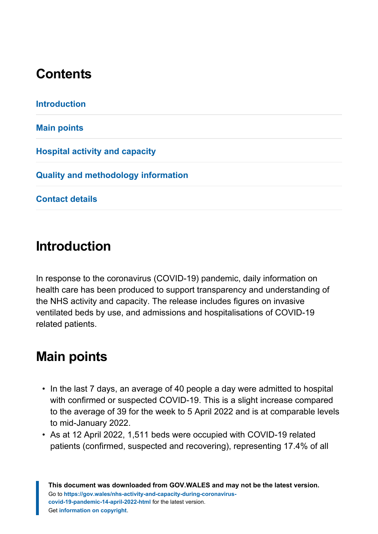# **Contents**

# <span id="page-1-0"></span>**Introduction**

In response to the coronavirus (COVID-19) pandemic, daily information on health care has been produced to support transparency and understanding of the NHS activity and capacity. The release includes figures on invasive ventilated beds by use, and admissions and hospitalisations of COVID-19 related patients.

# <span id="page-1-1"></span>**Main points**

- In the last 7 days, an average of 40 people a day were admitted to hospital with confirmed or suspected COVID-19. This is a slight increase compared to the average of 39 for the week to 5 April 2022 and is at comparable levels to mid-January 2022.
- As at 12 April 2022, 1,511 beds were occupied with COVID-19 related patients (confirmed, suspected and recovering), representing 17.4% of all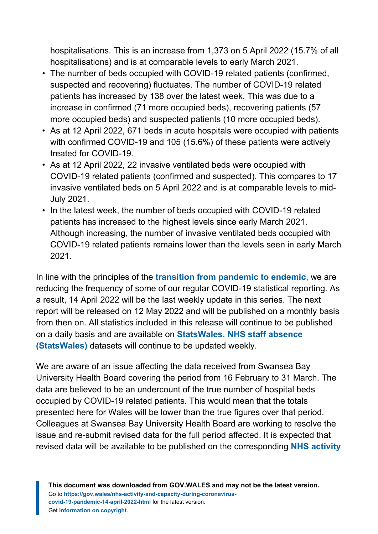hospitalisations. This is an increase from 1,373 on 5 April 2022 (15.7% of all hospitalisations) and is at comparable levels to early March 2021.

- The number of beds occupied with COVID-19 related patients (confirmed, suspected and recovering) fluctuates. The number of COVID-19 related patients has increased by 138 over the latest week. This was due to a increase in confirmed (71 more occupied beds), recovering patients (57 more occupied beds) and suspected patients (10 more occupied beds).
- As at 12 April 2022, 671 beds in acute hospitals were occupied with patients with confirmed COVID-19 and 105 (15.6%) of these patients were actively treated for COVID-19.
- As at 12 April 2022, 22 invasive ventilated beds were occupied with COVID-19 related patients (confirmed and suspected). This compares to 17 invasive ventilated beds on 5 April 2022 and is at comparable levels to mid-July 2021.
- In the latest week, the number of beds occupied with COVID-19 related patients has increased to the highest levels since early March 2021. Although increasing, the number of invasive ventilated beds occupied with COVID-19 related patients remains lower than the levels seen in early March 2021.

In line with the principles of the **[transition from pandemic to endemic](https://gov.wales/wales-long-term-covid-19-transition-pandemic-endemic)**, we are reducing the frequency of some of our regular COVID-19 statistical reporting. As a result, 14 April 2022 will be the last weekly update in this series. The next report will be released on 12 May 2022 and will be published on a monthly basis from then on. All statistics included in this release will continue to be published on a daily basis and are available on **[StatsWales](https://statswales.gov.wales/Catalogue/Health-and-Social-Care/NHS-Hospital-Activity/nhs-activity-and-capacity-during-the-coronavirus-pandemic)**. **[NHS staff absence](https://statswales.gov.wales/Catalogue/Health-and-Social-Care/NHS-Hospital-Activity/nhs-activity-and-capacity-during-the-coronavirus-pandemic) [\(StatsWales\)](https://statswales.gov.wales/Catalogue/Health-and-Social-Care/NHS-Hospital-Activity/nhs-activity-and-capacity-during-the-coronavirus-pandemic)** datasets will continue to be updated weekly.

We are aware of an issue affecting the data received from Swansea Bay University Health Board covering the period from 16 February to 31 March. The data are believed to be an undercount of the true number of hospital beds occupied by COVID-19 related patients. This would mean that the totals presented here for Wales will be lower than the true figures over that period. Colleagues at Swansea Bay University Health Board are working to resolve the issue and re-submit revised data for the full period affected. It is expected that revised data will be available to be published on the corresponding **[NHS activity](https://statswales.gov.wales/Catalogue/Health-and-Social-Care/NHS-Hospital-Activity/nhs-activity-and-capacity-during-the-coronavirus-pandemic)**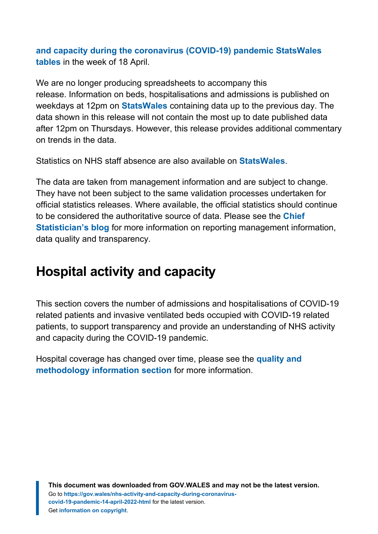**[and capacity during the coronavirus \(COVID-19\) pandemic StatsWales](https://statswales.gov.wales/Catalogue/Health-and-Social-Care/NHS-Hospital-Activity/nhs-activity-and-capacity-during-the-coronavirus-pandemic) [tables](https://statswales.gov.wales/Catalogue/Health-and-Social-Care/NHS-Hospital-Activity/nhs-activity-and-capacity-during-the-coronavirus-pandemic)** in the week of 18 April.

We are no longer producing spreadsheets to accompany this release. Information on beds, hospitalisations and admissions is published on weekdays at 12pm on **[StatsWales](https://statswales.gov.wales/Catalogue/Health-and-Social-Care/NHS-Hospital-Activity/nhs-activity-and-capacity-during-the-coronavirus-pandemic)** containing data up to the previous day. The data shown in this release will not contain the most up to date published data after 12pm on Thursdays. However, this release provides additional commentary on trends in the data.

Statistics on NHS staff absence are also available on **[StatsWales](https://statswales.gov.wales/Catalogue/Health-and-Social-Care/NHS-Hospital-Activity/nhs-activity-and-capacity-during-the-coronavirus-pandemic)**.

The data are taken from management information and are subject to change. They have not been subject to the same validation processes undertaken for official statistics releases. Where available, the official statistics should continue to be considered the authoritative source of data. Please see the **[Chief](https://digitalanddata.blog.gov.wales/2020/06/04/chief-statisticians-update-measuring-people-in-hospital-and-some-thoughts-on-data-quality/) [Statistician's blog](https://digitalanddata.blog.gov.wales/2020/06/04/chief-statisticians-update-measuring-people-in-hospital-and-some-thoughts-on-data-quality/)** for more information on reporting management information, data quality and transparency.

# <span id="page-3-0"></span>**Hospital activity and capacity**

This section covers the number of admissions and hospitalisations of COVID-19 related patients and invasive ventilated beds occupied with COVID-19 related patients, to support transparency and provide an understanding of NHS activity and capacity during the COVID-19 pandemic.

Hospital coverage has changed over time, please see the **[quality and](#page-12-0) [methodology information section](#page-12-0)** for more information.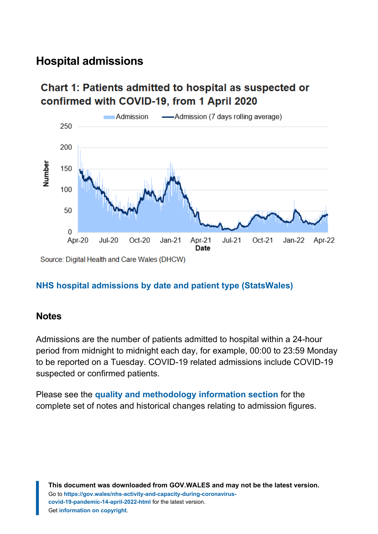## **Hospital admissions**

## Chart 1: Patients admitted to hospital as suspected or confirmed with COVID-19, from 1 April 2020



#### **[NHS hospital admissions by date and patient type](https://statswales.gov.wales/Catalogue/Health-and-Social-Care/NHS-Hospital-Activity/nhs-activity-and-capacity-during-the-coronavirus-pandemic/admissions-by-date-patientype) (StatsWales)**

#### **Notes**

Admissions are the number of patients admitted to hospital within a 24-hour period from midnight to midnight each day, for example, 00:00 to 23:59 Monday to be reported on a Tuesday. COVID-19 related admissions include COVID-19 suspected or confirmed patients.

Please see the **[quality and methodology information section](#page-12-0)** for the complete set of notes and historical changes relating to admission figures.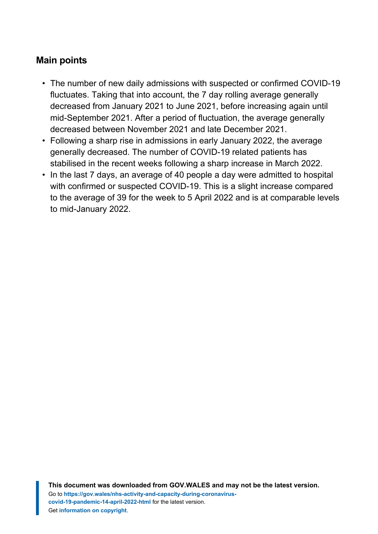#### **Main points**

- The number of new daily admissions with suspected or confirmed COVID-19 fluctuates. Taking that into account, the 7 day rolling average generally decreased from January 2021 to June 2021, before increasing again until mid-September 2021. After a period of fluctuation, the average generally decreased between November 2021 and late December 2021.
- Following a sharp rise in admissions in early January 2022, the average generally decreased. The number of COVID-19 related patients has stabilised in the recent weeks following a sharp increase in March 2022.
- In the last 7 days, an average of 40 people a day were admitted to hospital with confirmed or suspected COVID-19. This is a slight increase compared to the average of 39 for the week to 5 April 2022 and is at comparable levels to mid-January 2022.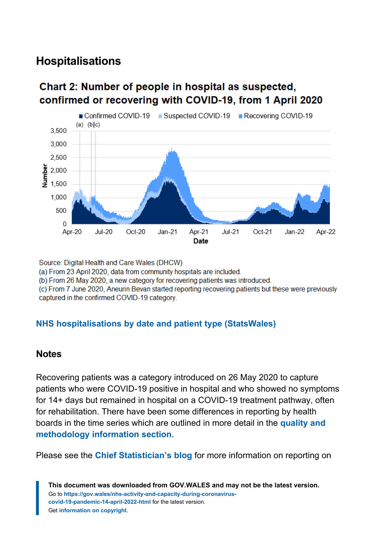## **Hospitalisations**

## Chart 2: Number of people in hospital as suspected. confirmed or recovering with COVID-19, from 1 April 2020



Source: Digital Health and Care Wales (DHCW)

(a) From 23 April 2020, data from community hospitals are included.

(b) From 26 May 2020, a new category for recovering patients was introduced.

(c) From 7 June 2020, Aneurin Bevan started reporting recovering patients but these were previously captured in the confirmed COVID-19 category.

#### **[NHS hospitalisations by date and patient type](https://statswales.gov.wales/Catalogue/Health-and-Social-Care/NHS-Hospital-Activity/nhs-activity-and-capacity-during-the-coronavirus-pandemic/hospitalisations-by-date-patientype) (StatsWales)**

#### **Notes**

Recovering patients was a category introduced on 26 May 2020 to capture patients who were COVID-19 positive in hospital and who showed no symptoms for 14+ days but remained in hospital on a COVID-19 treatment pathway, often for rehabilitation. There have been some differences in reporting by health boards in the time series which are outlined in more detail in the **[quality and](#page-12-0) [methodology information section](#page-12-0)**.

Please see the **[Chief Statistician's blog](https://digitalanddata.blog.gov.wales/2020/06/04/chief-statisticians-update-measuring-people-in-hospital-and-some-thoughts-on-data-quality/)** for more information on reporting on

**This document was downloaded from GOV.WALES and may not be the latest version.** Go to **[https://gov.wales/nhs-activity-and-capacity-during-coronavirus](https://gov.wales/nhs-activity-and-capacity-during-coronavirus-covid-19-pandemic-14-april-2022-html)[covid-19-pandemic-14-april-2022-html](https://gov.wales/nhs-activity-and-capacity-during-coronavirus-covid-19-pandemic-14-april-2022-html)** for the latest version. Get **[information on copyright](https://gov.wales/copyright-statement)**.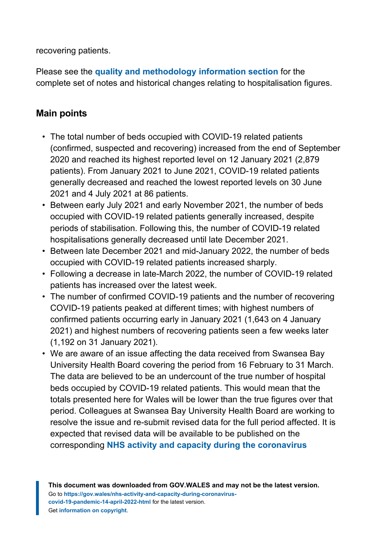recovering patients.

Please see the **[quality and methodology information section](#page-12-0)** for the complete set of notes and historical changes relating to hospitalisation figures.

#### **Main points**

- The total number of beds occupied with COVID-19 related patients (confirmed, suspected and recovering) increased from the end of September 2020 and reached its highest reported level on 12 January 2021 (2,879 patients). From January 2021 to June 2021, COVID-19 related patients generally decreased and reached the lowest reported levels on 30 June 2021 and 4 July 2021 at 86 patients.
- Between early July 2021 and early November 2021, the number of beds occupied with COVID-19 related patients generally increased, despite periods of stabilisation. Following this, the number of COVID-19 related hospitalisations generally decreased until late December 2021.
- Between late December 2021 and mid-January 2022, the number of beds occupied with COVID-19 related patients increased sharply.
- Following a decrease in late-March 2022, the number of COVID-19 related patients has increased over the latest week.
- The number of confirmed COVID-19 patients and the number of recovering COVID-19 patients peaked at different times; with highest numbers of confirmed patients occurring early in January 2021 (1,643 on 4 January 2021) and highest numbers of recovering patients seen a few weeks later (1,192 on 31 January 2021).
- We are aware of an issue affecting the data received from Swansea Bay University Health Board covering the period from 16 February to 31 March. The data are believed to be an undercount of the true number of hospital beds occupied by COVID-19 related patients. This would mean that the totals presented here for Wales will be lower than the true figures over that period. Colleagues at Swansea Bay University Health Board are working to resolve the issue and re-submit revised data for the full period affected. It is expected that revised data will be available to be published on the corresponding **[NHS activity and capacity during the coronavirus](https://statswales.gov.wales/Catalogue/Health-and-Social-Care/NHS-Hospital-Activity/nhs-activity-and-capacity-during-the-coronavirus-pandemic)**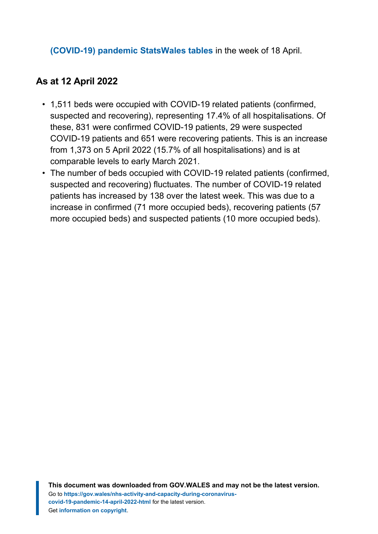#### **[\(COVID-19\) pandemic StatsWales tables](https://statswales.gov.wales/Catalogue/Health-and-Social-Care/NHS-Hospital-Activity/nhs-activity-and-capacity-during-the-coronavirus-pandemic)** in the week of 18 April.

#### **As at 12 April 2022**

- 1,511 beds were occupied with COVID-19 related patients (confirmed, suspected and recovering), representing 17.4% of all hospitalisations. Of these, 831 were confirmed COVID-19 patients, 29 were suspected COVID-19 patients and 651 were recovering patients. This is an increase from 1,373 on 5 April 2022 (15.7% of all hospitalisations) and is at comparable levels to early March 2021.
- The number of beds occupied with COVID-19 related patients (confirmed, suspected and recovering) fluctuates. The number of COVID-19 related patients has increased by 138 over the latest week. This was due to a increase in confirmed (71 more occupied beds), recovering patients (57 more occupied beds) and suspected patients (10 more occupied beds).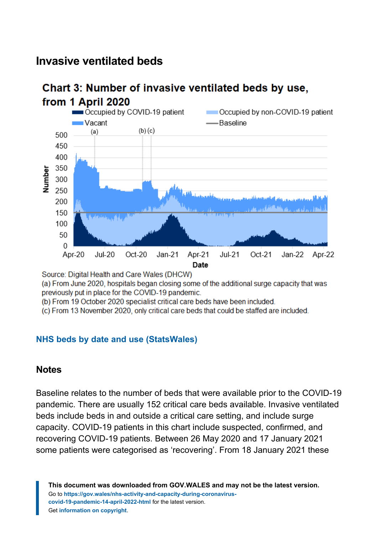## **Invasive ventilated beds**



# Chart 3: Number of invasive ventilated beds by use,

Source: Digital Health and Care Wales (DHCW)

(a) From June 2020, hospitals began closing some of the additional surge capacity that was previously put in place for the COVID-19 pandemic.

(b) From 19 October 2020 specialist critical care beds have been included.

(c) From 13 November 2020, only critical care beds that could be staffed are included.

#### **[NHS beds by date and use](https://statswales.gov.wales/Catalogue/Health-and-Social-Care/NHS-Hospital-Activity/nhs-activity-and-capacity-during-the-coronavirus-pandemic/nhsbed-by-date-use) (StatsWales)**

#### **Notes**

Baseline relates to the number of beds that were available prior to the COVID-19 pandemic. There are usually 152 critical care beds available. Invasive ventilated beds include beds in and outside a critical care setting, and include surge capacity. COVID-19 patients in this chart include suspected, confirmed, and recovering COVID-19 patients. Between 26 May 2020 and 17 January 2021 some patients were categorised as 'recovering'. From 18 January 2021 these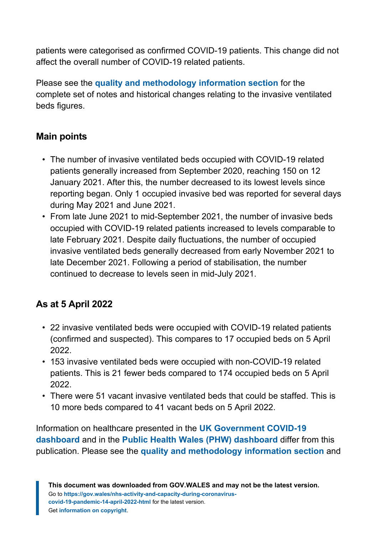patients were categorised as confirmed COVID-19 patients. This change did not affect the overall number of COVID-19 related patients.

Please see the **[quality and methodology information section](#page-12-0)** for the complete set of notes and historical changes relating to the invasive ventilated beds figures.

#### **Main points**

- The number of invasive ventilated beds occupied with COVID-19 related patients generally increased from September 2020, reaching 150 on 12 January 2021. After this, the number decreased to its lowest levels since reporting began. Only 1 occupied invasive bed was reported for several days during May 2021 and June 2021.
- From late June 2021 to mid-September 2021, the number of invasive beds occupied with COVID-19 related patients increased to levels comparable to late February 2021. Despite daily fluctuations, the number of occupied invasive ventilated beds generally decreased from early November 2021 to late December 2021. Following a period of stabilisation, the number continued to decrease to levels seen in mid-July 2021.

## **As at 5 April 2022**

- 22 invasive ventilated beds were occupied with COVID-19 related patients (confirmed and suspected). This compares to 17 occupied beds on 5 April 2022.
- 153 invasive ventilated beds were occupied with non-COVID-19 related patients. This is 21 fewer beds compared to 174 occupied beds on 5 April 2022.
- There were 51 vacant invasive ventilated beds that could be staffed. This is 10 more beds compared to 41 vacant beds on 5 April 2022.

Information on healthcare presented in the **[UK Government COVID-19](https://coronavirus.data.gov.uk/) [dashboard](https://coronavirus.data.gov.uk/)** and in the **[Public Health Wales \(PHW\) dashboard](https://public.tableau.com/profile/public.health.wales.health.protection#!/vizhome/RapidCOVID-19virology-Public/Headlinesummary)** differ from this publication. Please see the **[quality and methodology information section](#page-12-0)** and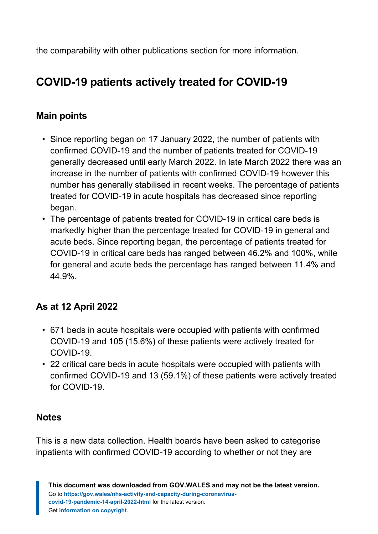the comparability with other publications section for more information.

# **COVID-19 patients actively treated for COVID-19**

### **Main points**

- Since reporting began on 17 January 2022, the number of patients with confirmed COVID-19 and the number of patients treated for COVID-19 generally decreased until early March 2022. In late March 2022 there was an increase in the number of patients with confirmed COVID-19 however this number has generally stabilised in recent weeks. The percentage of patients treated for COVID-19 in acute hospitals has decreased since reporting began.
- The percentage of patients treated for COVID-19 in critical care beds is markedly higher than the percentage treated for COVID-19 in general and acute beds. Since reporting began, the percentage of patients treated for COVID-19 in critical care beds has ranged between 46.2% and 100%, while for general and acute beds the percentage has ranged between 11.4% and 44.9%.

## **As at 12 April 2022**

- 671 beds in acute hospitals were occupied with patients with confirmed COVID-19 and 105 (15.6%) of these patients were actively treated for COVID-19.
- 22 critical care beds in acute hospitals were occupied with patients with confirmed COVID-19 and 13 (59.1%) of these patients were actively treated for COVID-19.

#### **Notes**

This is a new data collection. Health boards have been asked to categorise inpatients with confirmed COVID-19 according to whether or not they are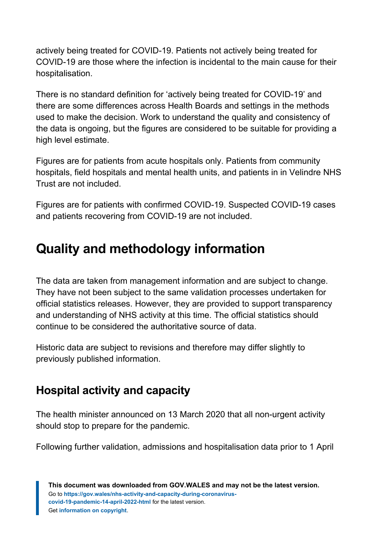actively being treated for COVID-19. Patients not actively being treated for COVID-19 are those where the infection is incidental to the main cause for their hospitalisation.

There is no standard definition for 'actively being treated for COVID-19' and there are some differences across Health Boards and settings in the methods used to make the decision. Work to understand the quality and consistency of the data is ongoing, but the figures are considered to be suitable for providing a high level estimate.

Figures are for patients from acute hospitals only. Patients from community hospitals, field hospitals and mental health units, and patients in in Velindre NHS Trust are not included.

Figures are for patients with confirmed COVID-19. Suspected COVID-19 cases and patients recovering from COVID-19 are not included.

# <span id="page-12-0"></span>**Quality and methodology information**

The data are taken from management information and are subject to change. They have not been subject to the same validation processes undertaken for official statistics releases. However, they are provided to support transparency and understanding of NHS activity at this time. The official statistics should continue to be considered the authoritative source of data.

Historic data are subject to revisions and therefore may differ slightly to previously published information.

## **Hospital activity and capacity**

The health minister announced on 13 March 2020 that all non-urgent activity should stop to prepare for the pandemic.

Following further validation, admissions and hospitalisation data prior to 1 April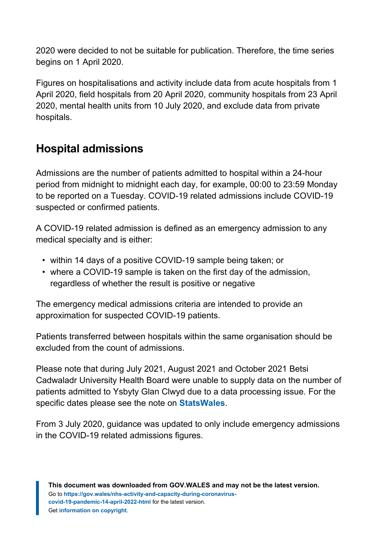2020 were decided to not be suitable for publication. Therefore, the time series begins on 1 April 2020.

Figures on hospitalisations and activity include data from acute hospitals from 1 April 2020, field hospitals from 20 April 2020, community hospitals from 23 April 2020, mental health units from 10 July 2020, and exclude data from private hospitals.

## **Hospital admissions**

Admissions are the number of patients admitted to hospital within a 24-hour period from midnight to midnight each day, for example, 00:00 to 23:59 Monday to be reported on a Tuesday. COVID-19 related admissions include COVID-19 suspected or confirmed patients.

A COVID-19 related admission is defined as an emergency admission to any medical specialty and is either:

- within 14 days of a positive COVID-19 sample being taken; or
- where a COVID-19 sample is taken on the first day of the admission, regardless of whether the result is positive or negative

The emergency medical admissions criteria are intended to provide an approximation for suspected COVID-19 patients.

Patients transferred between hospitals within the same organisation should be excluded from the count of admissions.

Please note that during July 2021, August 2021 and October 2021 Betsi Cadwaladr University Health Board were unable to supply data on the number of patients admitted to Ysbyty Glan Clwyd due to a data processing issue. For the specific dates please see the note on **[StatsWales](https://statswales.gov.wales/Catalogue/Health-and-Social-Care/NHS-Hospital-Activity/nhs-activity-and-capacity-during-the-coronavirus-pandemic)**.

From 3 July 2020, guidance was updated to only include emergency admissions in the COVID-19 related admissions figures.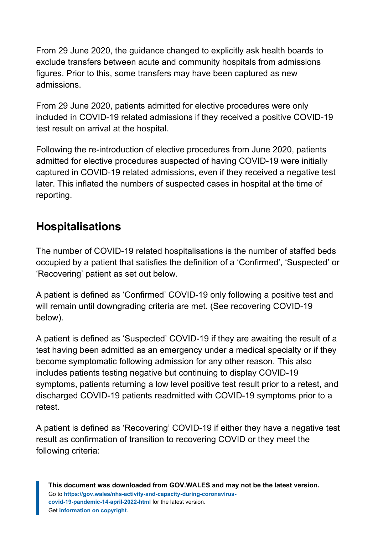From 29 June 2020, the guidance changed to explicitly ask health boards to exclude transfers between acute and community hospitals from admissions figures. Prior to this, some transfers may have been captured as new admissions.

From 29 June 2020, patients admitted for elective procedures were only included in COVID-19 related admissions if they received a positive COVID-19 test result on arrival at the hospital.

Following the re-introduction of elective procedures from June 2020, patients admitted for elective procedures suspected of having COVID-19 were initially captured in COVID-19 related admissions, even if they received a negative test later. This inflated the numbers of suspected cases in hospital at the time of reporting.

## **Hospitalisations**

The number of COVID-19 related hospitalisations is the number of staffed beds occupied by a patient that satisfies the definition of a 'Confirmed', 'Suspected' or 'Recovering' patient as set out below.

A patient is defined as 'Confirmed' COVID-19 only following a positive test and will remain until downgrading criteria are met. (See recovering COVID-19 below).

A patient is defined as 'Suspected' COVID-19 if they are awaiting the result of a test having been admitted as an emergency under a medical specialty or if they become symptomatic following admission for any other reason. This also includes patients testing negative but continuing to display COVID-19 symptoms, patients returning a low level positive test result prior to a retest, and discharged COVID-19 patients readmitted with COVID-19 symptoms prior to a retest.

A patient is defined as 'Recovering' COVID-19 if either they have a negative test result as confirmation of transition to recovering COVID or they meet the following criteria: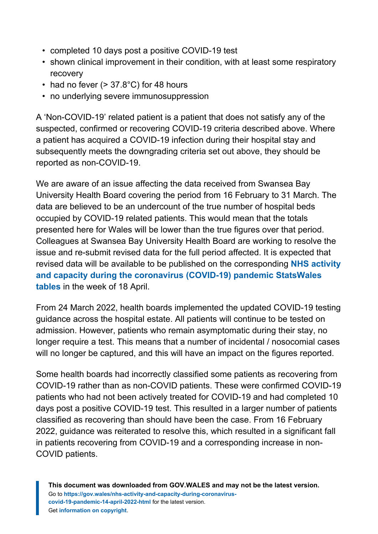- completed 10 days post a positive COVID-19 test
- shown clinical improvement in their condition, with at least some respiratory recovery
- had no fever  $(> 37.8^{\circ} \text{C})$  for 48 hours
- no underlying severe immunosuppression

A 'Non-COVID-19' related patient is a patient that does not satisfy any of the suspected, confirmed or recovering COVID-19 criteria described above. Where a patient has acquired a COVID-19 infection during their hospital stay and subsequently meets the downgrading criteria set out above, they should be reported as non-COVID-19.

We are aware of an issue affecting the data received from Swansea Bay University Health Board covering the period from 16 February to 31 March. The data are believed to be an undercount of the true number of hospital beds occupied by COVID-19 related patients. This would mean that the totals presented here for Wales will be lower than the true figures over that period. Colleagues at Swansea Bay University Health Board are working to resolve the issue and re-submit revised data for the full period affected. It is expected that revised data will be available to be published on the corresponding **[NHS activity](https://statswales.gov.wales/Catalogue/Health-and-Social-Care/NHS-Hospital-Activity/nhs-activity-and-capacity-during-the-coronavirus-pandemic) [and capacity during the coronavirus \(COVID-19\) pandemic StatsWales](https://statswales.gov.wales/Catalogue/Health-and-Social-Care/NHS-Hospital-Activity/nhs-activity-and-capacity-during-the-coronavirus-pandemic) [tables](https://statswales.gov.wales/Catalogue/Health-and-Social-Care/NHS-Hospital-Activity/nhs-activity-and-capacity-during-the-coronavirus-pandemic)** in the week of 18 April.

From 24 March 2022, health boards implemented the updated COVID-19 testing guidance across the hospital estate. All patients will continue to be tested on admission. However, patients who remain asymptomatic during their stay, no longer require a test. This means that a number of incidental / nosocomial cases will no longer be captured, and this will have an impact on the figures reported.

Some health boards had incorrectly classified some patients as recovering from COVID-19 rather than as non-COVID patients. These were confirmed COVID-19 patients who had not been actively treated for COVID-19 and had completed 10 days post a positive COVID-19 test. This resulted in a larger number of patients classified as recovering than should have been the case. From 16 February 2022, guidance was reiterated to resolve this, which resulted in a significant fall in patients recovering from COVID-19 and a corresponding increase in non-COVID patients.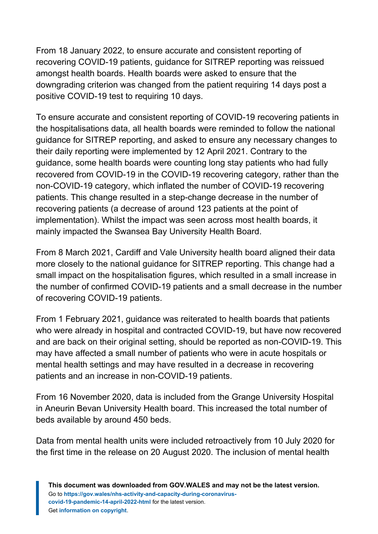From 18 January 2022, to ensure accurate and consistent reporting of recovering COVID-19 patients, guidance for SITREP reporting was reissued amongst health boards. Health boards were asked to ensure that the downgrading criterion was changed from the patient requiring 14 days post a positive COVID-19 test to requiring 10 days.

To ensure accurate and consistent reporting of COVID-19 recovering patients in the hospitalisations data, all health boards were reminded to follow the national guidance for SITREP reporting, and asked to ensure any necessary changes to their daily reporting were implemented by 12 April 2021. Contrary to the guidance, some health boards were counting long stay patients who had fully recovered from COVID-19 in the COVID-19 recovering category, rather than the non-COVID-19 category, which inflated the number of COVID-19 recovering patients. This change resulted in a step-change decrease in the number of recovering patients (a decrease of around 123 patients at the point of implementation). Whilst the impact was seen across most health boards, it mainly impacted the Swansea Bay University Health Board.

From 8 March 2021, Cardiff and Vale University health board aligned their data more closely to the national guidance for SITREP reporting. This change had a small impact on the hospitalisation figures, which resulted in a small increase in the number of confirmed COVID-19 patients and a small decrease in the number of recovering COVID-19 patients.

From 1 February 2021, guidance was reiterated to health boards that patients who were already in hospital and contracted COVID-19, but have now recovered and are back on their original setting, should be reported as non-COVID-19. This may have affected a small number of patients who were in acute hospitals or mental health settings and may have resulted in a decrease in recovering patients and an increase in non-COVID-19 patients.

From 16 November 2020, data is included from the Grange University Hospital in Aneurin Bevan University Health board. This increased the total number of beds available by around 450 beds.

Data from mental health units were included retroactively from 10 July 2020 for the first time in the release on 20 August 2020. The inclusion of mental health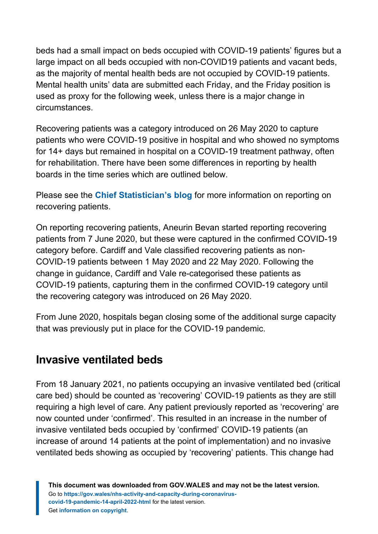beds had a small impact on beds occupied with COVID-19 patients' figures but a large impact on all beds occupied with non-COVID19 patients and vacant beds, as the majority of mental health beds are not occupied by COVID-19 patients. Mental health units' data are submitted each Friday, and the Friday position is used as proxy for the following week, unless there is a major change in circumstances.

Recovering patients was a category introduced on 26 May 2020 to capture patients who were COVID-19 positive in hospital and who showed no symptoms for 14+ days but remained in hospital on a COVID-19 treatment pathway, often for rehabilitation. There have been some differences in reporting by health boards in the time series which are outlined below.

Please see the **[Chief Statistician's blog](https://digitalanddata.blog.gov.wales/2020/06/04/chief-statisticians-update-measuring-people-in-hospital-and-some-thoughts-on-data-quality/)** for more information on reporting on recovering patients.

On reporting recovering patients, Aneurin Bevan started reporting recovering patients from 7 June 2020, but these were captured in the confirmed COVID-19 category before. Cardiff and Vale classified recovering patients as non-COVID-19 patients between 1 May 2020 and 22 May 2020. Following the change in guidance, Cardiff and Vale re-categorised these patients as COVID-19 patients, capturing them in the confirmed COVID-19 category until the recovering category was introduced on 26 May 2020.

From June 2020, hospitals began closing some of the additional surge capacity that was previously put in place for the COVID-19 pandemic.

## **Invasive ventilated beds**

From 18 January 2021, no patients occupying an invasive ventilated bed (critical care bed) should be counted as 'recovering' COVID-19 patients as they are still requiring a high level of care. Any patient previously reported as 'recovering' are now counted under 'confirmed'. This resulted in an increase in the number of invasive ventilated beds occupied by 'confirmed' COVID-19 patients (an increase of around 14 patients at the point of implementation) and no invasive ventilated beds showing as occupied by 'recovering' patients. This change had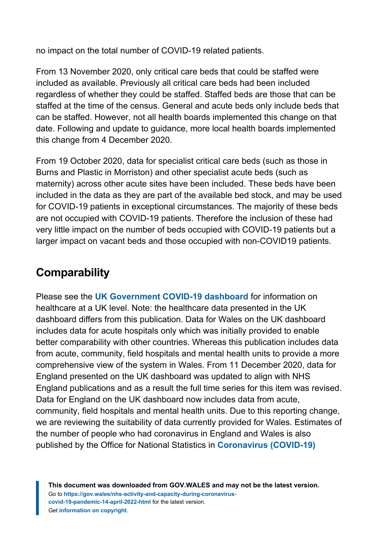no impact on the total number of COVID-19 related patients.

From 13 November 2020, only critical care beds that could be staffed were included as available. Previously all critical care beds had been included regardless of whether they could be staffed. Staffed beds are those that can be staffed at the time of the census. General and acute beds only include beds that can be staffed. However, not all health boards implemented this change on that date. Following and update to guidance, more local health boards implemented this change from 4 December 2020.

From 19 October 2020, data for specialist critical care beds (such as those in Burns and Plastic in Morriston) and other specialist acute beds (such as maternity) across other acute sites have been included. These beds have been included in the data as they are part of the available bed stock, and may be used for COVID-19 patients in exceptional circumstances. The majority of these beds are not occupied with COVID-19 patients. Therefore the inclusion of these had very little impact on the number of beds occupied with COVID-19 patients but a larger impact on vacant beds and those occupied with non-COVID19 patients.

## **Comparability**

Please see the **[UK Government COVID-19 dashboard](https://coronavirus.data.gov.uk/)** for information on healthcare at a UK level. Note: the healthcare data presented in the UK dashboard differs from this publication. Data for Wales on the UK dashboard includes data for acute hospitals only which was initially provided to enable better comparability with other countries. Whereas this publication includes data from acute, community, field hospitals and mental health units to provide a more comprehensive view of the system in Wales. From 11 December 2020, data for England presented on the UK dashboard was updated to align with NHS England publications and as a result the full time series for this item was revised. Data for England on the UK dashboard now includes data from acute, community, field hospitals and mental health units. Due to this reporting change, we are reviewing the suitability of data currently provided for Wales. Estimates of the number of people who had coronavirus in England and Wales is also published by the Office for National Statistics in **[Coronavirus \(COVID-19\)](https://www.ons.gov.uk/peoplepopulationandcommunity/healthandsocialcare/conditionsanddiseases/bulletins/coronaviruscovid19infectionsurveypilot/previousReleases)**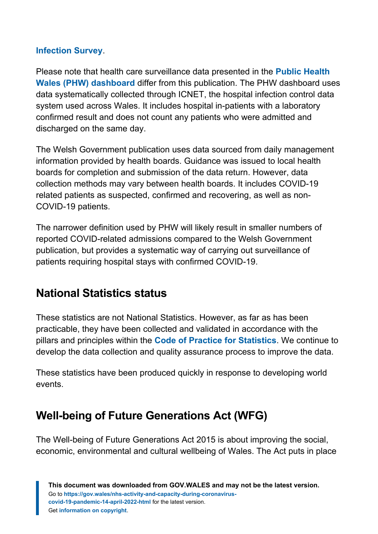#### **[Infection Survey](https://www.ons.gov.uk/peoplepopulationandcommunity/healthandsocialcare/conditionsanddiseases/bulletins/coronaviruscovid19infectionsurveypilot/previousReleases)**.

Please note that health care surveillance data presented in the **[Public Health](https://public.tableau.com/profile/public.health.wales.health.protection#!/vizhome/RapidCOVID-19virology-Public/Headlinesummary) [Wales \(PHW\) dashboard](https://public.tableau.com/profile/public.health.wales.health.protection#!/vizhome/RapidCOVID-19virology-Public/Headlinesummary)** differ from this publication. The PHW dashboard uses data systematically collected through ICNET, the hospital infection control data system used across Wales. It includes hospital in-patients with a laboratory confirmed result and does not count any patients who were admitted and discharged on the same day.

The Welsh Government publication uses data sourced from daily management information provided by health boards. Guidance was issued to local health boards for completion and submission of the data return. However, data collection methods may vary between health boards. It includes COVID-19 related patients as suspected, confirmed and recovering, as well as non-COVID-19 patients.

The narrower definition used by PHW will likely result in smaller numbers of reported COVID-related admissions compared to the Welsh Government publication, but provides a systematic way of carrying out surveillance of patients requiring hospital stays with confirmed COVID-19.

## **National Statistics status**

These statistics are not National Statistics. However, as far as has been practicable, they have been collected and validated in accordance with the pillars and principles within the **[Code of Practice for Statistics](https://code.statisticsauthority.gov.uk/)**. We continue to develop the data collection and quality assurance process to improve the data.

These statistics have been produced quickly in response to developing world events.

## **Well-being of Future Generations Act (WFG)**

The Well-being of Future Generations Act 2015 is about improving the social, economic, environmental and cultural wellbeing of Wales. The Act puts in place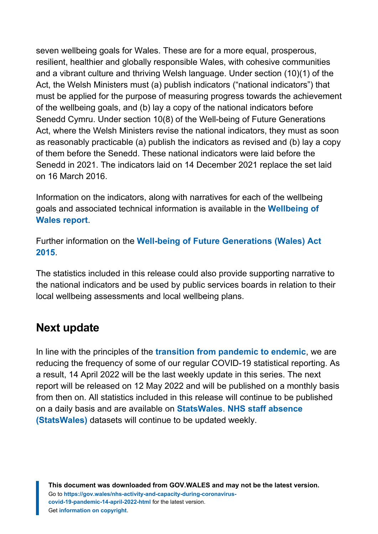seven wellbeing goals for Wales. These are for a more equal, prosperous, resilient, healthier and globally responsible Wales, with cohesive communities and a vibrant culture and thriving Welsh language. Under section (10)(1) of the Act, the Welsh Ministers must (a) publish indicators ("national indicators") that must be applied for the purpose of measuring progress towards the achievement of the wellbeing goals, and (b) lay a copy of the national indicators before Senedd Cymru. Under section 10(8) of the Well-being of Future Generations Act, where the Welsh Ministers revise the national indicators, they must as soon as reasonably practicable (a) publish the indicators as revised and (b) lay a copy of them before the Senedd. These national indicators were laid before the Senedd in 2021. The indicators laid on 14 December 2021 replace the set laid on 16 March 2016.

Information on the indicators, along with narratives for each of the wellbeing goals and associated technical information is available in the **[Wellbeing of](https://gov.wales/wellbeing-wales) [Wales report](https://gov.wales/wellbeing-wales)**.

Further information on the **[Well-being of Future Generations \(Wales\) Act](https://gov.wales/well-being-future-generations-wales-act-2015-guidance) [2015](https://gov.wales/well-being-future-generations-wales-act-2015-guidance)**.

The statistics included in this release could also provide supporting narrative to the national indicators and be used by public services boards in relation to their local wellbeing assessments and local wellbeing plans.

## **Next update**

In line with the principles of the **[transition from pandemic to endemic](https://gov.wales/wales-long-term-covid-19-transition-pandemic-endemic)**, we are reducing the frequency of some of our regular COVID-19 statistical reporting. As a result, 14 April 2022 will be the last weekly update in this series. The next report will be released on 12 May 2022 and will be published on a monthly basis from then on. All statistics included in this release will continue to be published on a daily basis and are available on **[StatsWales](https://statswales.gov.wales/Catalogue/Health-and-Social-Care/NHS-Hospital-Activity/nhs-activity-and-capacity-during-the-coronavirus-pandemic)**. **[NHS staff absence](https://statswales.gov.wales/Catalogue/Health-and-Social-Care/NHS-Hospital-Activity/nhs-activity-and-capacity-during-the-coronavirus-pandemic) [\(StatsWales\)](https://statswales.gov.wales/Catalogue/Health-and-Social-Care/NHS-Hospital-Activity/nhs-activity-and-capacity-during-the-coronavirus-pandemic)** datasets will continue to be updated weekly.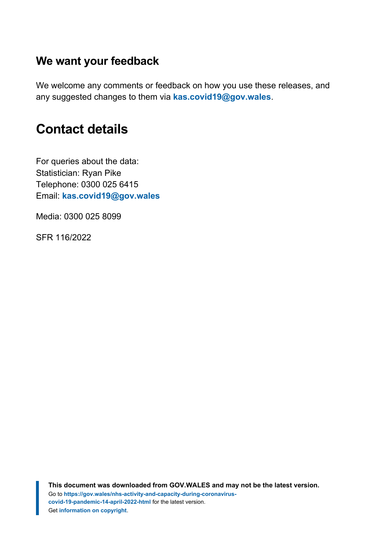## **We want your feedback**

We welcome any comments or feedback on how you use these releases, and any suggested changes to them via **[kas.covid19@gov.wales](mailto:kas.covid19@gov.wales)**.

## <span id="page-21-0"></span>**Contact details**

For queries about the data: Statistician: Ryan Pike Telephone: 0300 025 6415 Email: **[kas.covid19@gov.wales](mailto:kas.covid19@gov.wales)**

Media: 0300 025 8099

SFR 116/2022

**This document was downloaded from GOV.WALES and may not be the latest version.** Go to **[https://gov.wales/nhs-activity-and-capacity-during-coronavirus](https://gov.wales/nhs-activity-and-capacity-during-coronavirus-covid-19-pandemic-14-april-2022-html)[covid-19-pandemic-14-april-2022-html](https://gov.wales/nhs-activity-and-capacity-during-coronavirus-covid-19-pandemic-14-april-2022-html)** for the latest version. Get **[information on copyright](https://gov.wales/copyright-statement)**.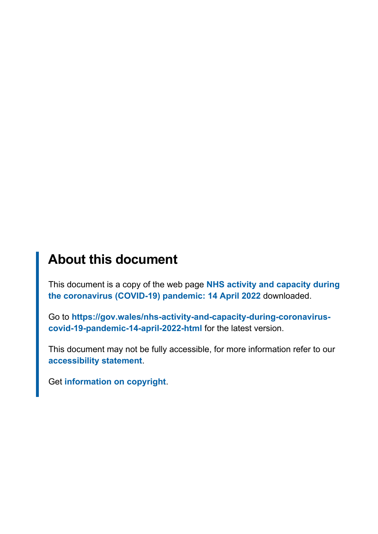# **About this document**

This document is a copy of the web page **[NHS activity and capacity during](https://gov.wales/nhs-activity-and-capacity-during-coronavirus-covid-19-pandemic-14-april-2022-html) [the coronavirus \(COVID-19\) pandemic: 14 April 2022](https://gov.wales/nhs-activity-and-capacity-during-coronavirus-covid-19-pandemic-14-april-2022-html)** downloaded.

Go to **[https://gov.wales/nhs-activity-and-capacity-during-coronavirus](https://gov.wales/nhs-activity-and-capacity-during-coronavirus-covid-19-pandemic-14-april-2022-html)[covid-19-pandemic-14-april-2022-html](https://gov.wales/nhs-activity-and-capacity-during-coronavirus-covid-19-pandemic-14-april-2022-html)** for the latest version.

This document may not be fully accessible, for more information refer to our **[accessibility statement](https://gov.wales/accessibility-statement-govwales)**.

Get **[information on copyright](https://gov.wales/copyright-statement)**.